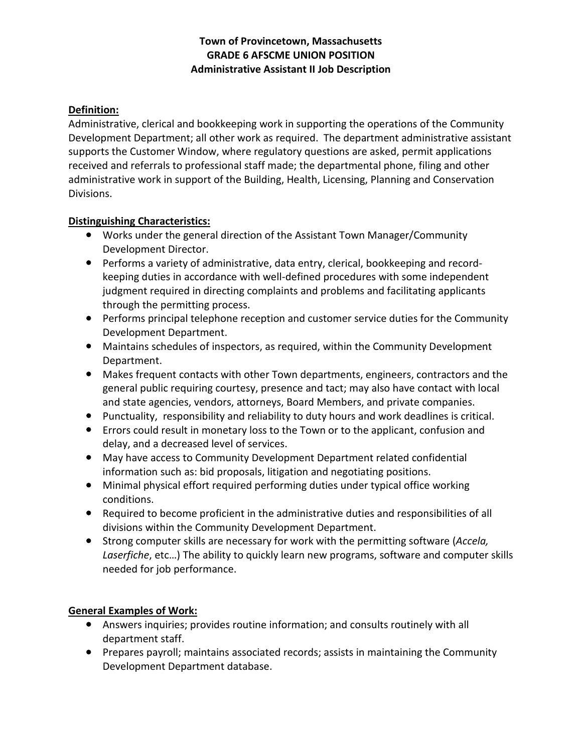# **Town of Provincetown, Massachusetts GRADE 6 AFSCME UNION POSITION Administrative Assistant II Job Description**

# **Definition:**

Administrative, clerical and bookkeeping work in supporting the operations of the Community Development Department; all other work as required. The department administrative assistant supports the Customer Window, where regulatory questions are asked, permit applications received and referrals to professional staff made; the departmental phone, filing and other administrative work in support of the Building, Health, Licensing, Planning and Conservation Divisions.

## **Distinguishing Characteristics:**

- Works under the general direction of the Assistant Town Manager/Community Development Director.
- Performs a variety of administrative, data entry, clerical, bookkeeping and recordkeeping duties in accordance with well-defined procedures with some independent judgment required in directing complaints and problems and facilitating applicants through the permitting process.
- Performs principal telephone reception and customer service duties for the Community Development Department.
- Maintains schedules of inspectors, as required, within the Community Development Department.
- Makes frequent contacts with other Town departments, engineers, contractors and the general public requiring courtesy, presence and tact; may also have contact with local and state agencies, vendors, attorneys, Board Members, and private companies.
- Punctuality, responsibility and reliability to duty hours and work deadlines is critical.
- Errors could result in monetary loss to the Town or to the applicant, confusion and delay, and a decreased level of services.
- May have access to Community Development Department related confidential information such as: bid proposals, litigation and negotiating positions.
- Minimal physical effort required performing duties under typical office working conditions.
- Required to become proficient in the administrative duties and responsibilities of all divisions within the Community Development Department.
- Strong computer skills are necessary for work with the permitting software (*Accela, Laserfiche*, etc…) The ability to quickly learn new programs, software and computer skills needed for job performance.

## **General Examples of Work:**

- Answers inquiries; provides routine information; and consults routinely with all department staff.
- Prepares payroll; maintains associated records; assists in maintaining the Community Development Department database.